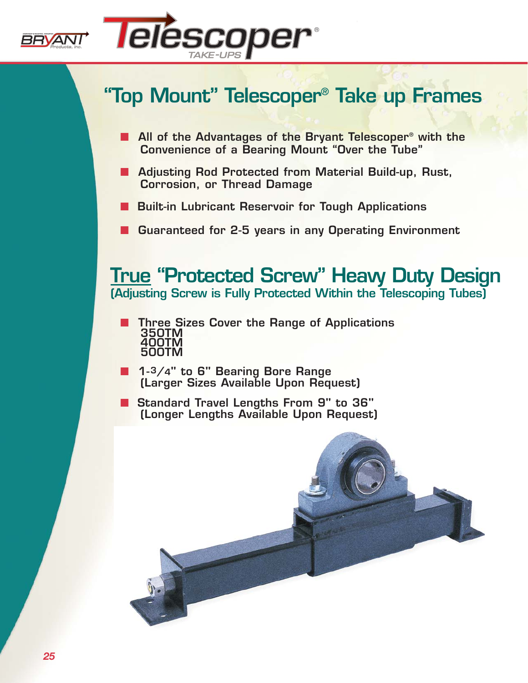



## **"Top Mount" Telescoper® Take up Frames**

- **All of the Advantages of the Bryant Telescoper<sup>®</sup> with the Convenience of a Bearing Mount "Over the Tube"**
- *TAKE -UPS CONVEYOR & INDUSTRIAL COMPONENTS* ■ **Adjusting Rod Protected from Material Build-up, Rust, Corrosion, or Thread Damage**
- Built-in Lubricant Reservoir for Tough Applications
- Guaranteed for 2-5 years in any Operating Environment

**True "Protected Screw" Heavy Duty Design (Adjusting Screw is Fully Protected Within the Telescoping Tubes)**

- **Three Sizes Cover the Range of Applications 350TM 400TM 500TM**
- **1-3/4" to 6" Bearing Bore Range (Larger Sizes Available Upon Request)**
- **Standard Travel Lengths From 9" to 36" (Longer Lengths Available Upon Request)**